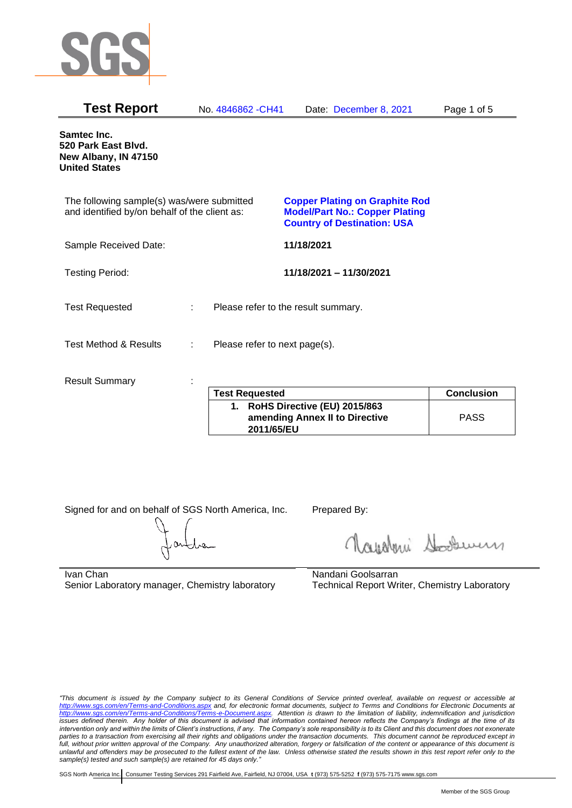

| <b>Test Report</b>                                                                          |   | No. 4846862 - CH41            | Date: December 8, 2021                                                                                               | Page 1 of 5       |
|---------------------------------------------------------------------------------------------|---|-------------------------------|----------------------------------------------------------------------------------------------------------------------|-------------------|
| Samtec Inc.<br>520 Park East Blvd.<br>New Albany, IN 47150<br><b>United States</b>          |   |                               |                                                                                                                      |                   |
| The following sample(s) was/were submitted<br>and identified by/on behalf of the client as: |   |                               | <b>Copper Plating on Graphite Rod</b><br><b>Model/Part No.: Copper Plating</b><br><b>Country of Destination: USA</b> |                   |
| Sample Received Date:                                                                       |   |                               | 11/18/2021                                                                                                           |                   |
| <b>Testing Period:</b>                                                                      |   |                               | 11/18/2021 - 11/30/2021                                                                                              |                   |
| <b>Test Requested</b>                                                                       | ÷ |                               | Please refer to the result summary.                                                                                  |                   |
| <b>Test Method &amp; Results</b>                                                            | ÷ | Please refer to next page(s). |                                                                                                                      |                   |
| <b>Result Summary</b>                                                                       |   | <b>Test Requested</b>         |                                                                                                                      | <b>Conclusion</b> |
|                                                                                             |   | <b>BULLA BALLANDE</b>         | $I = I \cup A \cup I \cup A$                                                                                         |                   |

| <b>Test Requested</b>                                                           | <b>Conclusion</b> |
|---------------------------------------------------------------------------------|-------------------|
| 1. RoHS Directive (EU) 2015/863<br>amending Annex II to Directive<br>2011/65/EU | <b>PASS</b>       |

Signed for and on behalf of SGS North America, Inc. Prepared By:

Navaleni Soomun

Ivan Chan Senior Laboratory manager, Chemistry laboratory Nandani Goolsarran Technical Report Writer, Chemistry Laboratory

*"This document is issued by the Company subject to its General Conditions of Service printed overleaf, available on request or accessible at <http://www.sgs.com/en/Terms-and-Conditions.aspx> and, for electronic format documents, subject to Terms and Conditions for Electronic Documents at [http://www.sgs.com/en/Terms-and-Conditions/Terms-e-Document.aspx.](http://www.sgs.com/en/Terms-and-Conditions/Terms-e-Document.aspx) Attention is drawn to the limitation of liability, indemnification and jurisdiction issues defined therein. Any holder of this document is advised that information contained hereon reflects the Company's findings at the time of its intervention only and within the limits of Client's instructions, if any. The Company's sole responsibility is to its Client and this document does not exonerate parties to a transaction from exercising all their rights and obligations under the transaction documents. This document cannot be reproduced except in full, without prior written approval of the Company. Any unauthorized alteration, forgery or falsification of the content or appearance of this document is unlawful and offenders may be prosecuted to the fullest extent of the law. Unless otherwise stated the results shown in this test report refer only to the sample(s) tested and such sample(s) are retained for 45 days only."*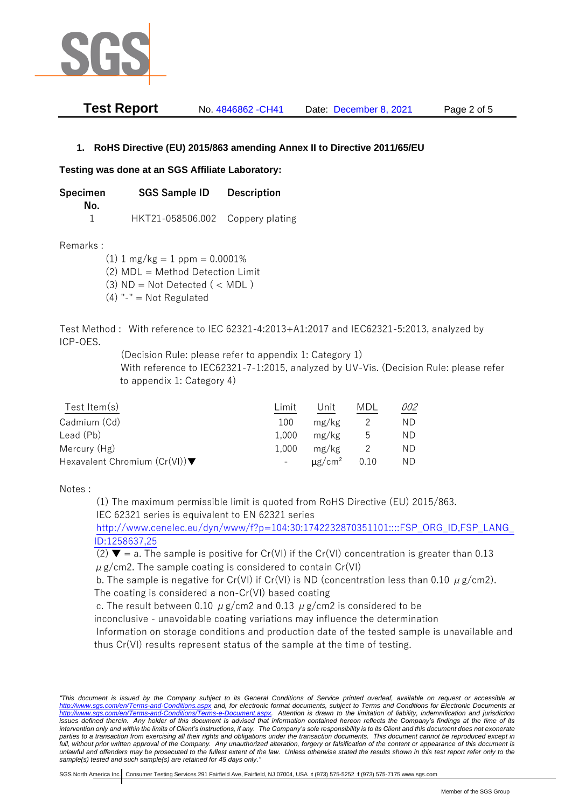

| <b>Test Report</b> | No. 4846862 - CH41 | Date: December 8, 2021 | Page 2 of 5 |
|--------------------|--------------------|------------------------|-------------|
|--------------------|--------------------|------------------------|-------------|

## **1. RoHS Directive (EU) 2015/863 amending Annex II to Directive 2011/65/EU**

## **Testing was done at an SGS Affiliate Laboratory:**

**Specimen SGS Sample ID Description No.** 1 HKT21-058506.002 Coppery plating

Remarks :

 $(1)$  1 mg/kg = 1 ppm = 0.0001% (2) MDL = Method Detection Limit

- $(3)$  ND = Not Detected  $($  < MDL)
- (4) "-" = Not Regulated

Test Method : With reference to IEC 62321-4:2013+A1:2017 and IEC62321-5:2013, analyzed by ICP-OES.

(Decision Rule: please refer to appendix 1: Category 1)

With reference to IEC62321-7-1:2015, analyzed by UV-Vis. (Decision Rule: please refer to appendix 1: Category 4)

| Test Item $(s)$                                  | Limit | Unit                    | MDL  | 002 |
|--------------------------------------------------|-------|-------------------------|------|-----|
| Cadmium (Cd)                                     | 100   | mg/kg                   |      | ND  |
| Lead (Pb)                                        | 1.000 | mg/kg                   | b    | ND  |
| Mercury (Hg)                                     | 1.000 | mg/kg                   |      | ND. |
| Hexavalent Chromium $(Cr(VI))\blacktriangledown$ | $-$   | $\mu$ g/cm <sup>2</sup> | 0.10 | ND. |

Notes :

(1) The maximum permissible limit is quoted from RoHS Directive (EU) 2015/863. IEC 62321 series is equivalent to EN 62321 series

[http://www.cenelec.eu/dyn/www/f?p=104:30:1742232870351101::::FSP\\_ORG\\_ID,FSP\\_LANG\\_](http://www.cenelec.eu/dyn/www/f?p=104:30:1742232870351101::::FSP_ORG_ID,FSP_LANG_ID:1258637,25) [ID:1258637,25](http://www.cenelec.eu/dyn/www/f?p=104:30:1742232870351101::::FSP_ORG_ID,FSP_LANG_ID:1258637,25)

(2)  $\blacktriangledown$  = a. The sample is positive for Cr(VI) if the Cr(VI) concentration is greater than 0.13  $\mu$  g/cm2. The sample coating is considered to contain Cr(VI)

b. The sample is negative for Cr(VI) if Cr(VI) is ND (concentration less than 0.10  $\mu$  g/cm2). The coating is considered a non-Cr(VI) based coating

c. The result between 0.10  $\mu$  g/cm2 and 0.13  $\mu$  g/cm2 is considered to be

inconclusive - unavoidable coating variations may influence the determination

Information on storage conditions and production date of the tested sample is unavailable and thus Cr(VI) results represent status of the sample at the time of testing.

*"This document is issued by the Company subject to its General Conditions of Service printed overleaf, available on request or accessible at <http://www.sgs.com/en/Terms-and-Conditions.aspx> and, for electronic format documents, subject to Terms and Conditions for Electronic Documents at [http://www.sgs.com/en/Terms-and-Conditions/Terms-e-Document.aspx.](http://www.sgs.com/en/Terms-and-Conditions/Terms-e-Document.aspx) Attention is drawn to the limitation of liability, indemnification and jurisdiction*  issues defined therein. Any holder of this document is advised that information contained hereon reflects the Company's findings at the time of its *intervention only and within the limits of Client's instructions, if any. The Company's sole responsibility is to its Client and this document does not exonerate*  parties to a transaction from exercising all their rights and obligations under the transaction documents. This document cannot be reproduced except in *full, without prior written approval of the Company. Any unauthorized alteration, forgery or falsification of the content or appearance of this document is unlawful and offenders may be prosecuted to the fullest extent of the law. Unless otherwise stated the results shown in this test report refer only to the sample(s) tested and such sample(s) are retained for 45 days only."*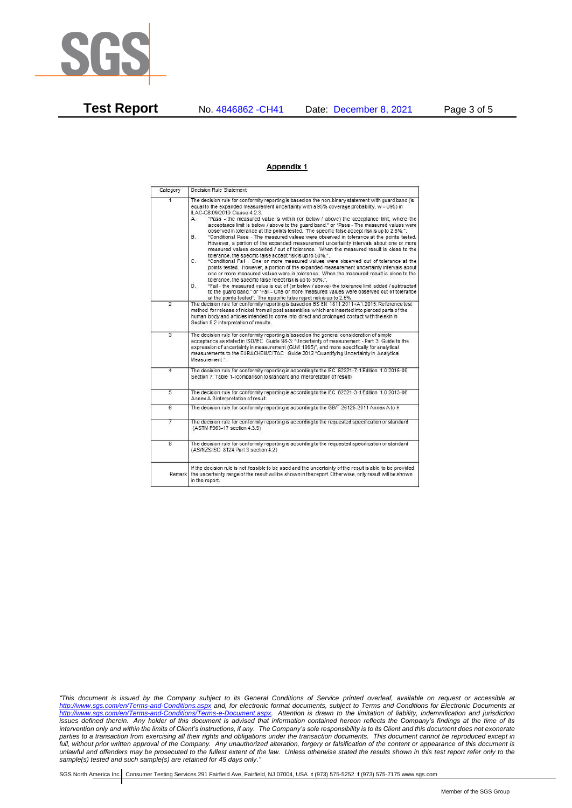

**Test Report** No. 4846862 -CH41 Date: December 8, 2021 Page 3 of 5

## **Appendix 1**

| Category                | Decision Rule Statement                                                                                                                                                                                                                                                                                                                                                                                                                                                                                                                                                                                                                                                                                                                                                                                                                                                                                                                                                                                                                                                                                                                                                                                                                                                                                                                                                                                                                                                                                            |
|-------------------------|--------------------------------------------------------------------------------------------------------------------------------------------------------------------------------------------------------------------------------------------------------------------------------------------------------------------------------------------------------------------------------------------------------------------------------------------------------------------------------------------------------------------------------------------------------------------------------------------------------------------------------------------------------------------------------------------------------------------------------------------------------------------------------------------------------------------------------------------------------------------------------------------------------------------------------------------------------------------------------------------------------------------------------------------------------------------------------------------------------------------------------------------------------------------------------------------------------------------------------------------------------------------------------------------------------------------------------------------------------------------------------------------------------------------------------------------------------------------------------------------------------------------|
| $\overline{1}$          | The decision rule for conformity reporting is based on the non-binary statement with quard band (is<br>equal to the expanded measurement uncertainty with a 95% coverage probability, w = U95) in<br>ILAC-G8:09/2019 Clause 4.2.3.<br>"Pass - the measured value is within (or below / above) the acceptance limit, where the<br>А.<br>acceptance limit is below / above to the quard band." or "Pass - The measured values were<br>observed in tolerance at the points tested. The specific false accept risk is up to 2.5%.".<br>B.<br>"Conditional Pass - The measured values were observed in tolerance at the points tested.<br>However, a portion of the expanded measurement uncertainty intervals about one or more<br>measured values exceeded / out of tolerance. When the measured result is close to the<br>tolerance, the specific false accept risk is up to 50%.".<br>C.<br>"Conditional Fail - One or more measured values were observed out of tolerance at the<br>points tested. However, a portion of the expanded measurement uncertainty intervals about<br>one or more measured values were in tolerance. When the measured result is close to the<br>tolerance, the specific false reject risk is up to 50%.".<br>"Fail - the measured value is out of (or below / above) the tolerance limit added / subtracted<br>D.<br>to the quard band." or "Fail - One or more measured values were observed out of tolerance<br>at the points tested". The specific false reject risk is up to 2.5%. |
| $\overline{2}$          | The decision rule for conformity reporting is based on BS EN 1811:2011+A1:2015: Reference test<br>method for release of nickel from all post assemblies which are inserted into pierced parts of the<br>human body and articles intended to come into direct and prolonged contact with the skin in<br>Section 9.2 interpretation of results.                                                                                                                                                                                                                                                                                                                                                                                                                                                                                                                                                                                                                                                                                                                                                                                                                                                                                                                                                                                                                                                                                                                                                                      |
| $\overline{3}$          | The decision rule for conformity reporting is based on the general consideration of simple<br>acceptance as stated in ISO/IEC Guide 98-3: "Uncertainty of measurement - Part 3: Guide to the<br>expression of uncertainty in measurement (GUM 1995)", and more specifically for analytical<br>measurements to the EURACHEM/CITAC Guide 2012 "Quantifying Uncertainty in Analytical<br>Measurement *                                                                                                                                                                                                                                                                                                                                                                                                                                                                                                                                                                                                                                                                                                                                                                                                                                                                                                                                                                                                                                                                                                                |
| 4                       | The decision rule for conformity reporting is according to the IEC 62321-7-1 Edition 1.0 2015-09<br>Section 7: Table 1-(comparison to standard and interpretation of result)                                                                                                                                                                                                                                                                                                                                                                                                                                                                                                                                                                                                                                                                                                                                                                                                                                                                                                                                                                                                                                                                                                                                                                                                                                                                                                                                       |
| 5                       | The decision rule for conformity reporting is according to the IEC 62321-3-1 Edition 1.0 2013-06<br>Annex A.3 interpretation of result.                                                                                                                                                                                                                                                                                                                                                                                                                                                                                                                                                                                                                                                                                                                                                                                                                                                                                                                                                                                                                                                                                                                                                                                                                                                                                                                                                                            |
| $\overline{6}$          | The decision rule for conformity reporting is according to the GB/T 26125-2011 Annex A to H                                                                                                                                                                                                                                                                                                                                                                                                                                                                                                                                                                                                                                                                                                                                                                                                                                                                                                                                                                                                                                                                                                                                                                                                                                                                                                                                                                                                                        |
| 7                       | The decision rule for conformity reporting is according to the requested specification or standard<br>(ASTM F963-17 section 4.3.5)                                                                                                                                                                                                                                                                                                                                                                                                                                                                                                                                                                                                                                                                                                                                                                                                                                                                                                                                                                                                                                                                                                                                                                                                                                                                                                                                                                                 |
| $\overline{\mathbf{g}}$ | The decision rule for conformity reporting is according to the requested specification or standard<br>(AS/NZS ISO 8124 Part 3 section 4.2)                                                                                                                                                                                                                                                                                                                                                                                                                                                                                                                                                                                                                                                                                                                                                                                                                                                                                                                                                                                                                                                                                                                                                                                                                                                                                                                                                                         |
| Remark                  | If the decision rule is not feasible to be used and the uncertainty of the result is able to be provided.<br>the uncertainty range of the result will be shown in the report. Otherwise, only result will be shown<br>in the report.                                                                                                                                                                                                                                                                                                                                                                                                                                                                                                                                                                                                                                                                                                                                                                                                                                                                                                                                                                                                                                                                                                                                                                                                                                                                               |

*"This document is issued by the Company subject to its General Conditions of Service printed overleaf, available on request or accessible at <http://www.sgs.com/en/Terms-and-Conditions.aspx> and, for electronic format documents, subject to Terms and Conditions for Electronic Documents at [http://www.sgs.com/en/Terms-and-Conditions/Terms-e-Document.aspx.](http://www.sgs.com/en/Terms-and-Conditions/Terms-e-Document.aspx) Attention is drawn to the limitation of liability, indemnification and jurisdiction issues defined therein. Any holder of this document is advised that information contained hereon reflects the Company's findings at the time of its intervention only and within the limits of Client's instructions, if any. The Company's sole responsibility is to its Client and this document does not exonerate parties to a transaction from exercising all their rights and obligations under the transaction documents. This document cannot be reproduced except in full, without prior written approval of the Company. Any unauthorized alteration, forgery or falsification of the content or appearance of this document is unlawful and offenders may be prosecuted to the fullest extent of the law. Unless otherwise stated the results shown in this test report refer only to the sample(s) tested and such sample(s) are retained for 45 days only."*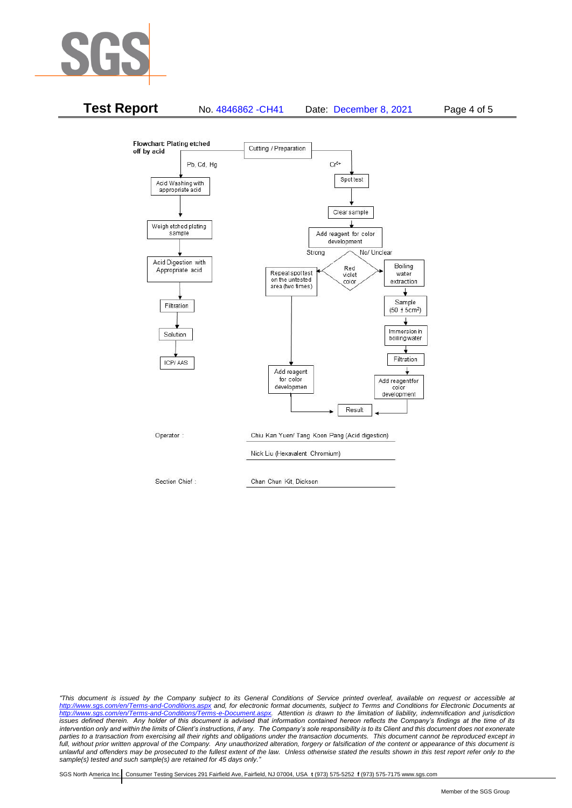



*"This document is issued by the Company subject to its General Conditions of Service printed overleaf, available on request or accessible at <http://www.sgs.com/en/Terms-and-Conditions.aspx> and, for electronic format documents, subject to Terms and Conditions for Electronic Documents at [http://www.sgs.com/en/Terms-and-Conditions/Terms-e-Document.aspx.](http://www.sgs.com/en/Terms-and-Conditions/Terms-e-Document.aspx) Attention is drawn to the limitation of liability, indemnification and jurisdiction issues defined therein. Any holder of this document is advised that information contained hereon reflects the Company's findings at the time of its intervention only and within the limits of Client's instructions, if any. The Company's sole responsibility is to its Client and this document does not exonerate*  parties to a transaction from exercising all their rights and obligations under the transaction documents. This document cannot be reproduced except in *full, without prior written approval of the Company. Any unauthorized alteration, forgery or falsification of the content or appearance of this document is unlawful and offenders may be prosecuted to the fullest extent of the law. Unless otherwise stated the results shown in this test report refer only to the sample(s) tested and such sample(s) are retained for 45 days only."*